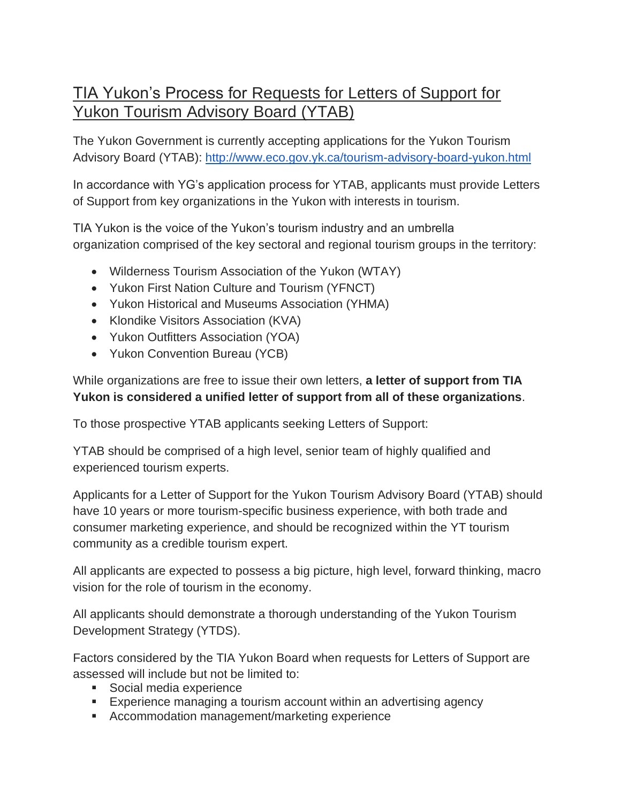## TIA Yukon's Process for Requests for Letters of Support for Yukon Tourism Advisory Board (YTAB)

The Yukon Government is currently accepting applications for the Yukon Tourism Advisory Board (YTAB): <http://www.eco.gov.yk.ca/tourism-advisory-board-yukon.html>

In accordance with YG's application process for YTAB, applicants must provide Letters of Support from key organizations in the Yukon with interests in tourism.

TIA Yukon is the voice of the Yukon's tourism industry and an umbrella organization comprised of the key sectoral and regional tourism groups in the territory:

- Wilderness Tourism Association of the Yukon (WTAY)
- Yukon First Nation Culture and Tourism (YFNCT)
- Yukon Historical and Museums Association (YHMA)
- Klondike Visitors Association (KVA)
- Yukon Outfitters Association (YOA)
- Yukon Convention Bureau (YCB)

While organizations are free to issue their own letters, **a letter of support from TIA Yukon is considered a unified letter of support from all of these organizations**.

To those prospective YTAB applicants seeking Letters of Support:

YTAB should be comprised of a high level, senior team of highly qualified and experienced tourism experts.

Applicants for a Letter of Support for the Yukon Tourism Advisory Board (YTAB) should have 10 years or more tourism-specific business experience, with both trade and consumer marketing experience, and should be recognized within the YT tourism community as a credible tourism expert.

All applicants are expected to possess a big picture, high level, forward thinking, macro vision for the role of tourism in the economy.

All applicants should demonstrate a thorough understanding of the Yukon Tourism Development Strategy (YTDS).

Factors considered by the TIA Yukon Board when requests for Letters of Support are assessed will include but not be limited to:

- Social media experience
- Experience managing a tourism account within an advertising agency
- Accommodation management/marketing experience